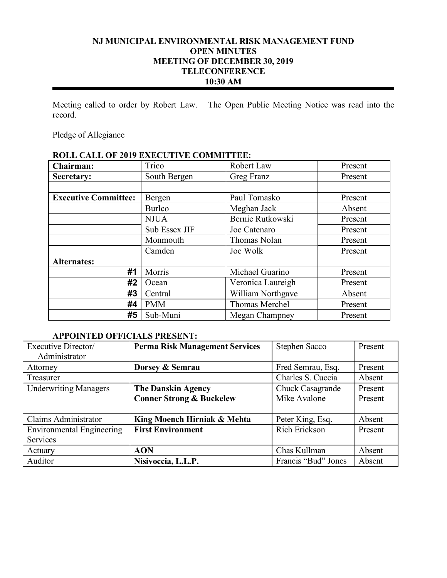# **NJ MUNICIPAL ENVIRONMENTAL RISK MANAGEMENT FUND OPEN MINUTES MEETING OF DECEMBER 30, 2019 TELECONFERENCE 10:30 AM**

Meeting called to order by Robert Law. The Open Public Meeting Notice was read into the record.

Pledge of Allegiance

# **ROLL CALL OF 2019 EXECUTIVE COMMITTEE:**

| Chairman:                   | Trico         | Robert Law        | Present |
|-----------------------------|---------------|-------------------|---------|
| Secretary:                  | South Bergen  | Greg Franz        | Present |
|                             |               |                   |         |
| <b>Executive Committee:</b> | Bergen        | Paul Tomasko      | Present |
|                             | <b>Burlco</b> | Meghan Jack       | Absent  |
|                             | <b>NJUA</b>   | Bernie Rutkowski  | Present |
|                             | Sub Essex JIF | Joe Catenaro      | Present |
|                             | Monmouth      | Thomas Nolan      | Present |
|                             | Camden        | Joe Wolk          | Present |
| <b>Alternates:</b>          |               |                   |         |
| #1                          | Morris        | Michael Guarino   | Present |
| #2                          | Ocean         | Veronica Laureigh | Present |
| #3                          | Central       | William Northgave | Absent  |
| #4                          | <b>PMM</b>    | Thomas Merchel    | Present |
| #5                          | Sub-Muni      | Megan Champney    | Present |

# **APPOINTED OFFICIALS PRESENT:**

| Executive Director/              | <b>Perma Risk Management Services</b> | Stephen Sacco       | Present |
|----------------------------------|---------------------------------------|---------------------|---------|
| Administrator                    |                                       |                     |         |
| Attorney                         | Dorsey & Semrau                       | Fred Semrau, Esq.   | Present |
| Treasurer                        |                                       | Charles S. Cuccia   | Absent  |
| <b>Underwriting Managers</b>     | <b>The Danskin Agency</b>             | Chuck Casagrande    | Present |
|                                  | <b>Conner Strong &amp; Buckelew</b>   | Mike Avalone        | Present |
|                                  |                                       |                     |         |
| Claims Administrator             | King Moench Hirniak & Mehta           | Peter King, Esq.    | Absent  |
| <b>Environmental Engineering</b> | <b>First Environment</b>              | Rich Erickson       | Present |
| <b>Services</b>                  |                                       |                     |         |
| Actuary                          | <b>AON</b>                            | Chas Kullman        | Absent  |
| Auditor                          | Nisivoccia, L.L.P.                    | Francis "Bud" Jones | Absent  |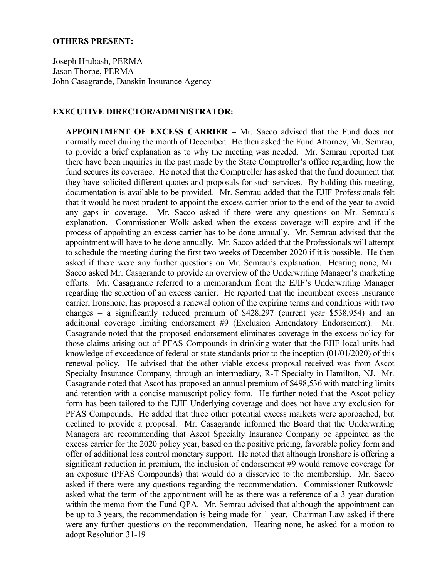#### **OTHERS PRESENT:**

Joseph Hrubash, PERMA Jason Thorpe, PERMA John Casagrande, Danskin Insurance Agency

### **EXECUTIVE DIRECTOR/ADMINISTRATOR:**

**APPOINTMENT OF EXCESS CARRIER –** Mr. Sacco advised that the Fund does not normally meet during the month of December. He then asked the Fund Attorney, Mr. Semrau, to provide a brief explanation as to why the meeting was needed. Mr. Semrau reported that there have been inquiries in the past made by the State Comptroller's office regarding how the fund secures its coverage. He noted that the Comptroller has asked that the fund document that they have solicited different quotes and proposals for such services. By holding this meeting, documentation is available to be provided. Mr. Semrau added that the EJIF Professionals felt that it would be most prudent to appoint the excess carrier prior to the end of the year to avoid any gaps in coverage. Mr. Sacco asked if there were any questions on Mr. Semrau's explanation. Commissioner Wolk asked when the excess coverage will expire and if the process of appointing an excess carrier has to be done annually. Mr. Semrau advised that the appointment will have to be done annually. Mr. Sacco added that the Professionals will attempt to schedule the meeting during the first two weeks of December 2020 if it is possible. He then asked if there were any further questions on Mr. Semrau's explanation. Hearing none, Mr. Sacco asked Mr. Casagrande to provide an overview of the Underwriting Manager's marketing efforts. Mr. Casagrande referred to a memorandum from the EJIF's Underwriting Manager regarding the selection of an excess carrier. He reported that the incumbent excess insurance carrier, Ironshore, has proposed a renewal option of the expiring terms and conditions with two changes – a significantly reduced premium of \$428,297 (current year \$538,954) and an additional coverage limiting endorsement #9 (Exclusion Amendatory Endorsement). Mr. Casagrande noted that the proposed endorsement eliminates coverage in the excess policy for those claims arising out of PFAS Compounds in drinking water that the EJIF local units had knowledge of exceedance of federal or state standards prior to the inception (01/01/2020) of this renewal policy. He advised that the other viable excess proposal received was from Ascot Specialty Insurance Company, through an intermediary, R-T Specialty in Hamilton, NJ. Mr. Casagrande noted that Ascot has proposed an annual premium of \$498,536 with matching limits and retention with a concise manuscript policy form. He further noted that the Ascot policy form has been tailored to the EJIF Underlying coverage and does not have any exclusion for PFAS Compounds. He added that three other potential excess markets were approached, but declined to provide a proposal. Mr. Casagrande informed the Board that the Underwriting Managers are recommending that Ascot Specialty Insurance Company be appointed as the excess carrier for the 2020 policy year, based on the positive pricing, favorable policy form and offer of additional loss control monetary support. He noted that although Ironshore is offering a significant reduction in premium, the inclusion of endorsement #9 would remove coverage for an exposure (PFAS Compounds) that would do a disservice to the membership. Mr. Sacco asked if there were any questions regarding the recommendation. Commissioner Rutkowski asked what the term of the appointment will be as there was a reference of a 3 year duration within the memo from the Fund QPA. Mr. Semrau advised that although the appointment can be up to 3 years, the recommendation is being made for 1 year. Chairman Law asked if there were any further questions on the recommendation. Hearing none, he asked for a motion to adopt Resolution 31-19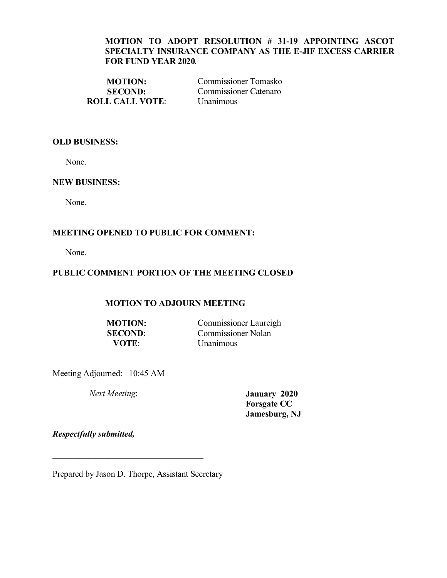## **MOTION TO ADOPT RESOLUTION # 31-19 APPOINTING ASCOT SPECIALTY INSURANCE COMPANY AS THE E-JIF EXCESS CARRIER FOR FUND YEAR 2020***.*

**ROLL CALL VOTE**: Unanimous

**MOTION:** Commissioner Tomasko **SECOND:** Commissioner Catenaro

### **OLD BUSINESS:**

None.

### **NEW BUSINESS:**

None.

## **MEETING OPENED TO PUBLIC FOR COMMENT:**

None.

# **PUBLIC COMMENT PORTION OF THE MEETING CLOSED**

## **MOTION TO ADJOURN MEETING**

**MOTION:** Commissioner Laureigh **SECOND:** Commissioner Nolan<br> **VOTE**: Unanimous *<u>Unanimous</u>* 

Meeting Adjourned: 10:45 AM

*Next Meeting*: **January 2020 Forsgate CC Jamesburg, NJ**

*Respectfully submitted,*

Prepared by Jason D. Thorpe, Assistant Secretary

 $\mathcal{L}_\text{max}$  , where  $\mathcal{L}_\text{max}$  and  $\mathcal{L}_\text{max}$  and  $\mathcal{L}_\text{max}$